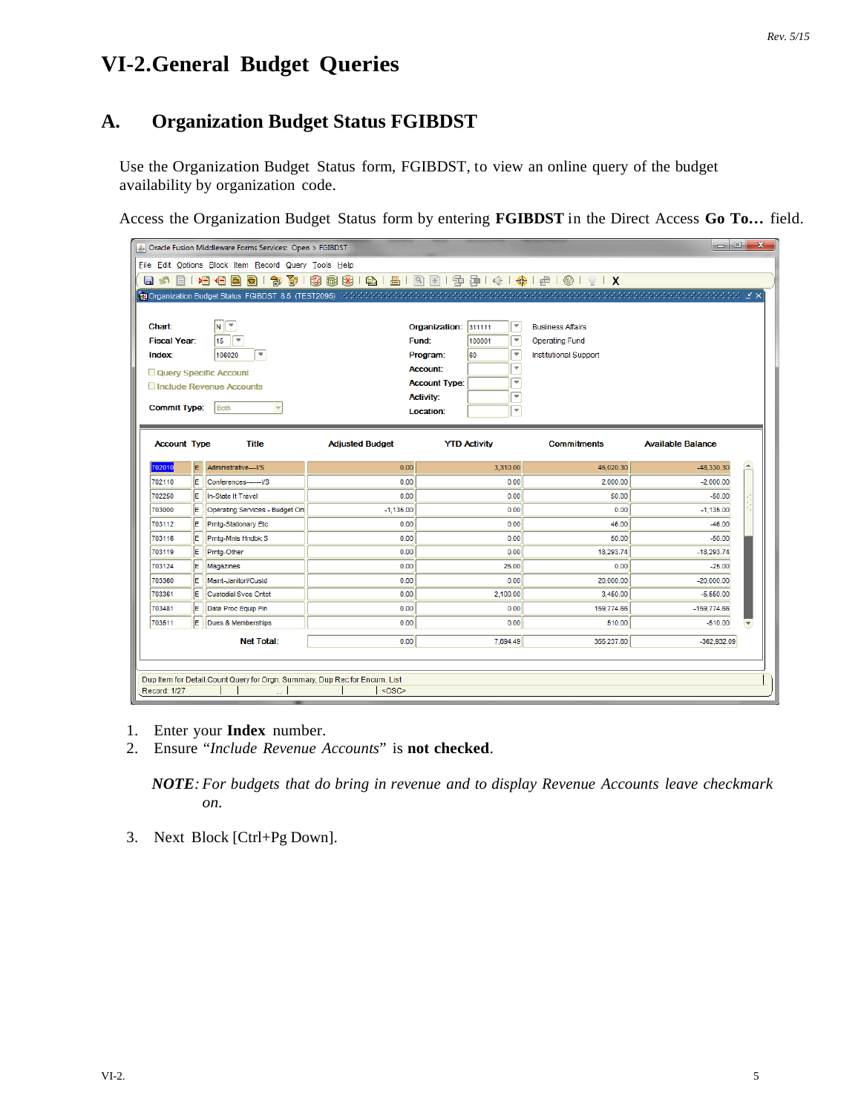# **VI-2.General Budget Queries**

# **A. Organization Budget Status FGIBDST**

Use the Organization Budget Status form, FGIBDST, to view an online query of the budget availability by organization code.

Access the Organization Budget Status form by entering **FGIBDST** in the Direct Access **Go To…** field.

|                                                |     | Oracle Fusion Middleware Forms Services: Open > FGIBDST                     |                        |                      |                                |                                                        | $\Box$ e                         | $\mathbf{x}$ |  |  |  |
|------------------------------------------------|-----|-----------------------------------------------------------------------------|------------------------|----------------------|--------------------------------|--------------------------------------------------------|----------------------------------|--------------|--|--|--|
|                                                |     | File Edit Options Block Item Record Query Tools Help                        |                        |                      |                                |                                                        |                                  |              |  |  |  |
| 目の<br>旨                                        |     | 衙<br>相相<br>淘<br>ð)<br>Ð                                                     | 32   15   15   15      |                      |                                | <b>● 8 8 8 8 8 9 9 9 9 1 4 1 4 9 1 4 0 1 9 1 2 1 X</b> |                                  |              |  |  |  |
|                                                |     |                                                                             |                        |                      |                                |                                                        |                                  |              |  |  |  |
|                                                |     |                                                                             |                        |                      |                                |                                                        |                                  |              |  |  |  |
| <b>Chart:</b>                                  |     | ▼<br>$\vert$ N $\vert$                                                      |                        | Organization:        | Îт,<br>311111                  | <b>Business Affairs</b>                                |                                  |              |  |  |  |
| <b>Fiscal Year:</b>                            |     | F<br>15                                                                     |                        | Fund:                | ஈ<br>100001                    | <b>Operating Fund</b>                                  |                                  |              |  |  |  |
| <b>Index:</b>                                  |     | $\overline{\mathbf{v}}$<br>106020                                           |                        | Program:             | $\overline{\phantom{0}}$<br>60 | Institutional Support                                  |                                  |              |  |  |  |
| Ψ<br><b>Account:</b><br>Query Specific Account |     |                                                                             |                        |                      |                                |                                                        |                                  |              |  |  |  |
|                                                |     | Include Revenue Accounts                                                    |                        | <b>Account Type:</b> | Ψ                              |                                                        |                                  |              |  |  |  |
|                                                |     |                                                                             |                        | <b>Activity:</b>     | `₩                             |                                                        |                                  |              |  |  |  |
| <b>Commit Type:</b>                            |     | Both                                                                        |                        | Location:            | Ψ                              |                                                        |                                  |              |  |  |  |
|                                                |     |                                                                             |                        |                      |                                |                                                        |                                  |              |  |  |  |
| <b>Account Type</b>                            |     | <b>Title</b>                                                                | <b>Adjusted Budget</b> |                      | <b>YTD Activity</b>            | <b>Commitments</b>                                     | <b>Available Balance</b>         |              |  |  |  |
|                                                |     |                                                                             |                        |                      |                                |                                                        |                                  |              |  |  |  |
| 702010                                         | E   | Administrative---I/S                                                        | 0.00                   |                      | 3,310.00                       | 45,020.30                                              | $\blacktriangle$<br>$-48.330.30$ |              |  |  |  |
| 702110                                         | lE. | Conferences-------I/S                                                       | 0.00                   |                      | 0.00                           | 2,000.00                                               | $-2,000.00$                      |              |  |  |  |
| 702250                                         | ΙE  | In-State It Travel                                                          | 0.00                   |                      | 0.00                           | 50.00                                                  | $-50.00$                         |              |  |  |  |
| 703000                                         | lE. | Operating Services - Budget On                                              | $-1,135.00$            |                      | 0.00                           | 0.00                                                   | $-1,135.00$                      |              |  |  |  |
| 703112                                         | lE. | Prntg-Stationary Etc                                                        | 0.00                   |                      | 0.00                           | 46.00                                                  | $-46.00$                         |              |  |  |  |
| 703116                                         | ΙE  | Prntg-Mnls Hndbk S                                                          | 0.00                   |                      | 0.00                           | 50.00                                                  | $-50.00$                         |              |  |  |  |
| 703119                                         | lE. | Prntg-Other                                                                 | 0.00                   |                      | 0.00                           | 18,293.74                                              | $-18.293.74$                     |              |  |  |  |
| 703124                                         | ΙE  | Magazines                                                                   | 0.00                   |                      | 25.00                          | 0.00                                                   | $-25.00$                         |              |  |  |  |
| 703360                                         | ΙE  | Maint-Janitorl/Custd                                                        | 0.00                   |                      | 0.00                           | 20,000.00                                              | $-20,000.00$                     |              |  |  |  |
| 703361                                         | ΙE  | <b>Custodial Svcs Cntct</b>                                                 | 0.00                   |                      | 2,100.00                       | 3,450.00                                               | $-5,550.00$                      |              |  |  |  |
| 703481                                         | ΙE  | Data Proc Equip Fin                                                         | 0.00                   |                      | 0.00                           | 159,774.66                                             | $-159,774.66$                    |              |  |  |  |
| 703511                                         | lE. | Dues & Memberships                                                          | 0.00                   |                      | 0.00                           | 510.00                                                 | $-510.00$                        |              |  |  |  |
|                                                |     | <b>Net Total:</b>                                                           | 0.00                   |                      | 7,694.49                       | 355,237.60                                             | $-362.932.09$                    |              |  |  |  |
|                                                |     |                                                                             |                        |                      |                                |                                                        |                                  |              |  |  |  |
|                                                |     |                                                                             |                        |                      |                                |                                                        |                                  |              |  |  |  |
|                                                |     | Dup Item for Detail, Count Query for Orgn. Summary, Dup Rec for Encum. List |                        |                      |                                |                                                        |                                  |              |  |  |  |
| <b>Record: 1/27</b>                            |     |                                                                             | $<$ OSC>               |                      |                                |                                                        |                                  |              |  |  |  |

- 1. Enter your **Index** number.
- 2. Ensure "*Include Revenue Accounts*" is **not checked**.

*NOTE: For budgets that do bring in revenue and to display Revenue Accounts leave checkmark on.*

3. Next Block [Ctrl+Pg Down].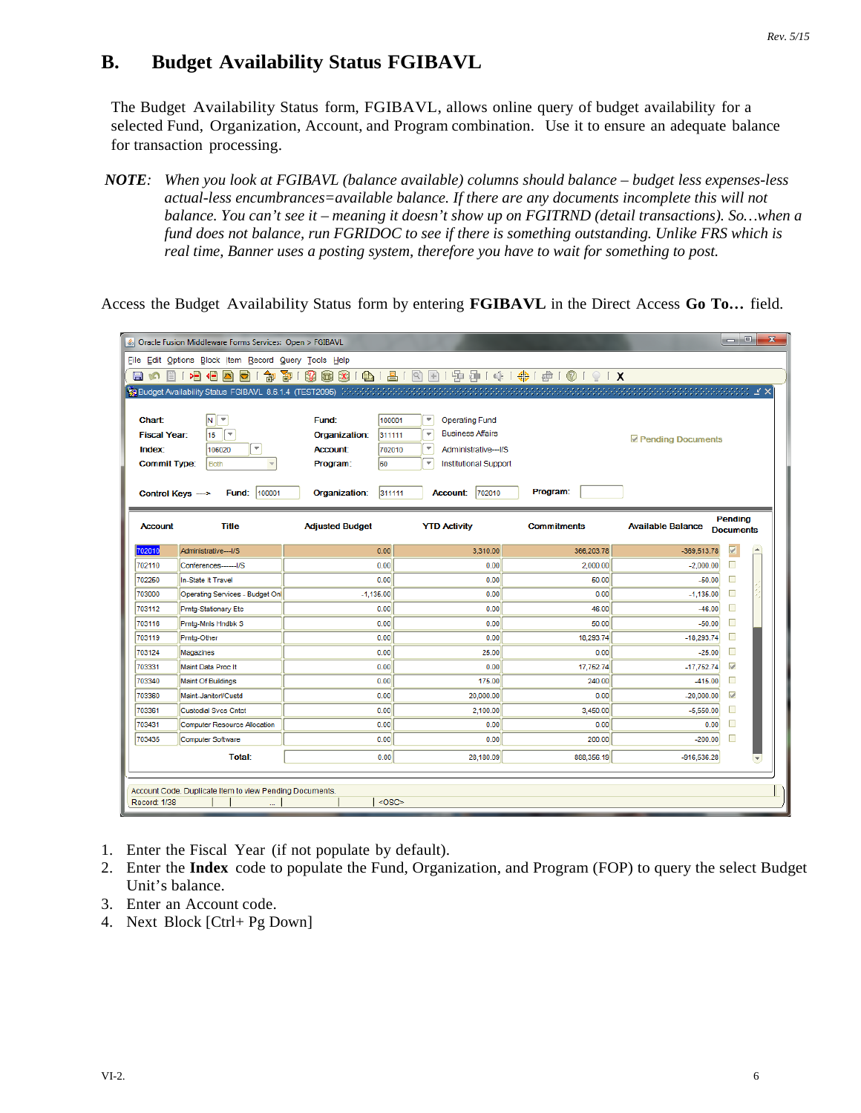## **B. Budget Availability Status FGIBAVL**

The Budget Availability Status form, FGIBAVL, allows online query of budget availability for a selected Fund, Organization, Account, and Program combination. Use it to ensure an adequate balance for transaction processing.

*NOTE: When you look at FGIBAVL (balance available) columns should balance – budget less expenses-less actual-less encumbrances=available balance. If there are any documents incomplete this will not balance. You can't see it – meaning it doesn't show up on FGITRND (detail transactions). So…when a fund does not balance, run FGRIDOC to see if there is something outstanding. Unlike FRS which is real time, Banner uses a posting system, therefore you have to wait for something to post.* 

Access the Budget Availability Status form by entering **FGIBAVL** in the Direct Access **Go To…** field.

|                     | & Oracle Fusion Middleware Forms Services: Open > FGIBAVL |                                                                                                            |                                                   |                                                           |                                                     | l – El<br>$\mathbf{x}$      |
|---------------------|-----------------------------------------------------------|------------------------------------------------------------------------------------------------------------|---------------------------------------------------|-----------------------------------------------------------|-----------------------------------------------------|-----------------------------|
|                     | File Edit Options Block Item Record Query Tools Help      |                                                                                                            |                                                   |                                                           |                                                     |                             |
| a<br>e i<br>m       | B<br>御<br>相信<br>호)                                        | 寄                                                                                                          |                                                   | 8 8 8 8 1 8 1 8 1 8 8 1 9 9 4 1 4 1 4 1 6 1 8 1 8 1 8 1 8 |                                                     |                             |
|                     |                                                           | <b>q Budget Availability Status FGIBAVL 8.6.1.4 (TEST2095)</b> (外部ののの) かかいこうかいこうかいこうかいこうかいこうかいこうかいこうかいこうかい |                                                   |                                                           | hining in the second state of the second state of × |                             |
|                     |                                                           |                                                                                                            |                                                   |                                                           |                                                     |                             |
| Chart:              | $N$ $\sqrt{\tau}$                                         | 100001<br>Fund:                                                                                            | $\overline{\phantom{a}}$<br><b>Operating Fund</b> |                                                           |                                                     |                             |
| <b>Fiscal Year:</b> | $\overline{\phantom{a}}$<br>15                            | Organization:<br>311111                                                                                    | ÷<br><b>Business Affairs</b>                      |                                                           | Pending Documents                                   |                             |
| <b>Index:</b>       | $\overline{\mathbf{v}}$<br>106020                         | <b>Account:</b><br>702010                                                                                  | $\overline{\phantom{a}}$<br>Administrative--- I/S |                                                           |                                                     |                             |
| <b>Commit Type:</b> | <b>Both</b>                                               | 60<br>Program:                                                                                             | ▼<br>Institutional Support                        |                                                           |                                                     |                             |
|                     |                                                           |                                                                                                            |                                                   |                                                           |                                                     |                             |
|                     | 100001<br>Control Keys -><br>Fund:                        | 311111<br>Organization:                                                                                    | 702010<br><b>Account:</b>                         | Program:                                                  |                                                     |                             |
|                     |                                                           |                                                                                                            |                                                   |                                                           |                                                     |                             |
| <b>Account</b>      | <b>Title</b>                                              | <b>Adjusted Budget</b>                                                                                     | <b>YTD Activity</b>                               | <b>Commitments</b>                                        | <b>Available Balance</b>                            | Pendina<br><b>Documents</b> |
|                     |                                                           |                                                                                                            |                                                   |                                                           |                                                     |                             |
| 702010              | Administrative---I/S                                      | 0.00                                                                                                       | 3,310.00                                          | 366,203.78                                                | $-369.513.78$                                       | ☑<br>′∸                     |
| 702110              | Conferences-------I/S                                     | 0.00                                                                                                       | 0.00                                              | 2.000.00                                                  | $-2.000.00$                                         | $\Box$                      |
| 702250              | In-State It Travel                                        | 0.00                                                                                                       | 0.00                                              | 50.00                                                     | $-50.00$                                            | □                           |
| 703000              | Operating Services - Budget Onl                           | $-1.135.00$                                                                                                | 0.00                                              | 0.00                                                      | $-1.135.00$                                         | □                           |
| 703112              | Prntg-Stationary Etc                                      | 0.00                                                                                                       | 0.00                                              | 46.00                                                     | $-46.00$                                            | □                           |
| 703116              | Prntg-Mnls Hndbk S                                        | 0.00                                                                                                       | 0.00                                              | 50.00                                                     | $-50.00$                                            | □                           |
| 703119              | Prntg-Other                                               | 0.00                                                                                                       | 0.00                                              | 18,293.74                                                 | $-18,293.74$                                        | o<br>П                      |
| 703124<br>703331    | Magazines<br>Maint Data Proc It                           | 0.00<br>0.00                                                                                               | 25.00<br>0.00                                     | 0.00                                                      | $-25.00$                                            | $\overline{\mathbf{v}}$     |
| 703340              | <b>Maint Of Buildings</b>                                 | 0.00                                                                                                       | 175.00                                            | 17,752.74<br>240.00                                       | $-17,752.74$<br>$-415.00$                           | П                           |
| 703360              | Maint-Janitorl/Custd                                      | 0.00                                                                                                       | 20,000.00                                         | 0.00                                                      | $-20,000.00$                                        | $\overline{\mathbf{v}}$     |
| 703361              | <b>Custodial Svcs Cntct</b>                               | 0.00                                                                                                       | 2,100.00                                          | 3,450.00                                                  | $-5,550.00$                                         | $\Box$                      |
| 703431              | <b>Computer Resource Allocation</b>                       | 0.00                                                                                                       | 0.00                                              | 0.00                                                      | 0.00                                                | $\Box$                      |
| 703435              | <b>Computer Software</b>                                  | 0.00                                                                                                       | 0.00                                              | 200.00                                                    | $-200.00$                                           | □                           |
|                     |                                                           |                                                                                                            |                                                   |                                                           |                                                     |                             |
|                     | <b>Total:</b>                                             | 0.00                                                                                                       | 28,180.09                                         | 888,356.19                                                | $-916,536.28$                                       |                             |
|                     |                                                           |                                                                                                            |                                                   |                                                           |                                                     |                             |
|                     | Account Code. Duplicate Item to view Pending Documents.   |                                                                                                            |                                                   |                                                           |                                                     |                             |
| Record: 1/38        |                                                           | $<$ OSC>                                                                                                   |                                                   |                                                           |                                                     |                             |

- 1. Enter the Fiscal Year (if not populate by default).
- 2. Enter the **Index** code to populate the Fund, Organization, and Program (FOP) to query the select Budget Unit's balance.
- 3. Enter an Account code.
- 4. Next Block [Ctrl+ Pg Down]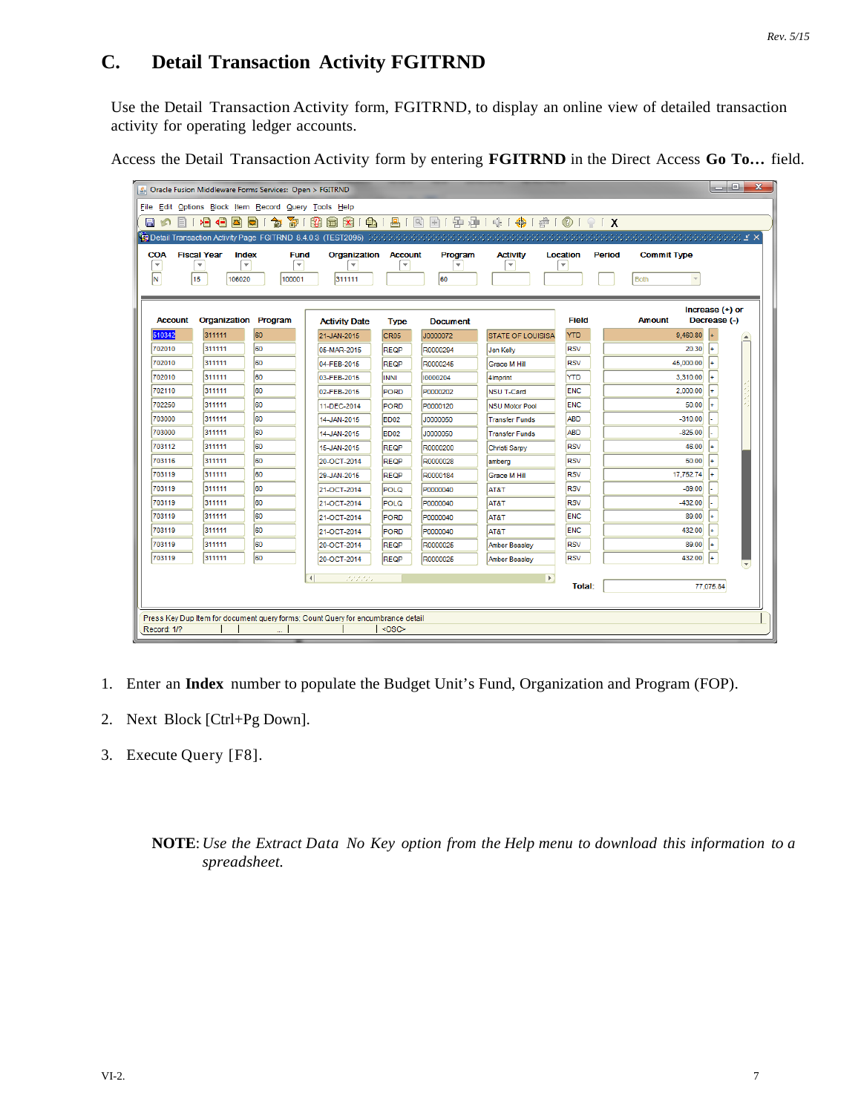# **C. Detail Transaction Activity FGITRND**

Use the Detail Transaction Activity form, FGITRND, to display an online view of detailed transaction activity for operating ledger accounts.

|  | Access the Detail Transaction Activity form by entering FGITRND in the Direct Access Go To field. |  |  |  |  |  |
|--|---------------------------------------------------------------------------------------------------|--|--|--|--|--|
|--|---------------------------------------------------------------------------------------------------|--|--|--|--|--|

|                          | S Oracle Fusion Middleware Forms Services: Open > FGITRND |                         |                                                                                 |                         |                         |                          |                         |                    | $\mathbf{x}$<br>$\Box$ e |
|--------------------------|-----------------------------------------------------------|-------------------------|---------------------------------------------------------------------------------|-------------------------|-------------------------|--------------------------|-------------------------|--------------------|--------------------------|
|                          | File Edit Options Block Item Record Query Tools Help      |                         |                                                                                 |                         |                         |                          |                         |                    |                          |
| EI 16<br>H               | ⋗⊟<br>- ∢⊟<br>ð)                                          | 寄<br>匐<br>Ð             | $\bigoplus$<br>$\mathbb{R}$<br>圃<br>$\mathbf{x}$                                | 昌                       |                         | 图图1雷净1余1●1●10191X        |                         |                    |                          |
|                          |                                                           |                         |                                                                                 |                         |                         |                          |                         |                    |                          |
| <b>COA</b>               | <b>Fiscal Year</b><br>Index                               | <b>Fund</b>             | <b>Organization Account</b>                                                     |                         | Program                 | <b>Activity</b>          | Location<br>Period      | <b>Commit Type</b> |                          |
| $\overline{\phantom{a}}$ | $\overline{\phantom{0}}$<br>$\overline{\phantom{a}}$      | $\overline{\mathbf{v}}$ | $\overline{\phantom{a}}$                                                        | $\overline{\mathbf{v}}$ | $\overline{\mathbf{v}}$ | $\overline{\phantom{a}}$ | $\overline{\mathbf{v}}$ |                    |                          |
| N                        | 15<br>106020                                              | 100001                  | 311111                                                                          |                         | 60                      |                          |                         | <b>Both</b>        |                          |
|                          |                                                           |                         |                                                                                 |                         |                         |                          |                         |                    |                          |
|                          |                                                           |                         |                                                                                 |                         |                         |                          |                         |                    | Increase (+) or          |
| <b>Account</b>           | <b>Organization Program</b>                               |                         | <b>Activity Date</b>                                                            | <b>Type</b>             | <b>Document</b>         |                          | <b>Field</b>            | <b>Amount</b>      | Decrease (-)             |
| 510342                   | 311111                                                    | 60                      | 21-JAN-2015                                                                     | CR <sub>05</sub>        | J0000072                | <b>STATE OF LOUISISA</b> | <b>YTD</b>              | 9.460.80           |                          |
| 702010                   | 311111                                                    | 60                      | 05-MAR-2015                                                                     | <b>REQP</b>             | R0000294                | Jen Kelly                | <b>RSV</b>              | 20.30              |                          |
| 702010                   | 311111                                                    | l60                     | 04-FEB-2015                                                                     | <b>REQP</b>             | R0000245                | Grace M Hill             | <b>RSV</b>              | 45.000.00          |                          |
| 702010                   | 311111                                                    | 60                      | 03-FEB-2015                                                                     | <b>INNI</b>             | 10000204                | 4Imprint                 | YTD                     | 3,310.00           |                          |
| 702110                   | 311111                                                    | 60                      | 02-FEB-2015                                                                     | PORD                    | P0000202                | <b>NSU T-Card</b>        | <b>ENC</b>              | 2,000.00           |                          |
| 702250                   | 311111                                                    | 60                      | 11-DEC-2014                                                                     | PORD                    | P0000120                | <b>NSU Motor Pool</b>    | <b>ENC</b>              | 50.00              |                          |
| 703000                   | 311111                                                    | l60                     | 14-JAN-2015                                                                     | BD <sub>02</sub>        | J0000050                | <b>Transfer Funds</b>    | <b>ABD</b>              | $-310.00$          |                          |
| 703000                   | 311111                                                    | l60                     | 14-JAN-2015                                                                     | BD <sub>02</sub>        | J0000050                | <b>Transfer Funds</b>    | <b>ABD</b>              | $-825.00$          |                          |
| 703112                   | 311111                                                    | 60                      | 15-JAN-2015                                                                     | <b>REQP</b>             | R0000200                | Christi Sarpy            | <b>RSV</b>              | 46.00              |                          |
| 703116                   | 311111                                                    | 60                      | 20-OCT-2014                                                                     | <b>REQP</b>             | R0000028                | amberg                   | <b>RSV</b>              | 50.00              |                          |
| 703119                   | 311111                                                    | 60                      | 29-JAN-2015                                                                     | <b>REQP</b>             | R0000184                | Grace M Hill             | <b>RSV</b>              | 17,752.74          |                          |
| 703119                   | 311111                                                    | 60                      | 21-OCT-2014                                                                     | <b>POLQ</b>             | P0000040                | AT&T                     | <b>RSV</b>              | $-89.00$           |                          |
| 703119                   | 311111                                                    | 60                      | 21-OCT-2014                                                                     | POLQ                    | P0000040                | AT&T                     | <b>RSV</b>              | $-432.00$          |                          |
| 703119                   | 311111                                                    | l60                     | 21-OCT-2014                                                                     | <b>PORD</b>             | P0000040                | AT&T                     | <b>ENC</b>              | 89.00              |                          |
| 703119                   | 311111                                                    | 60                      | 21-OCT-2014                                                                     | PORD                    | P0000040                | AT&T                     | <b>ENC</b>              | 432.00             |                          |
| 703119                   | 311111                                                    | 60                      | 20-OCT-2014                                                                     | <b>REQP</b>             | R0000025                | Amber Beasley            | <b>RSV</b>              | 89.00              |                          |
| 703119                   | 311111                                                    | 60                      | 20-OCT-2014                                                                     | <b>REQP</b>             | R0000025                | <b>Amber Beasley</b>     | <b>RSV</b>              | 432.00             |                          |
|                          |                                                           |                         | $\left  \right $<br>22222                                                       |                         |                         | $\mathbf{F}$             |                         |                    |                          |
|                          |                                                           |                         |                                                                                 |                         |                         |                          | <b>Total:</b>           |                    | 77,075.84                |
|                          |                                                           |                         |                                                                                 |                         |                         |                          |                         |                    |                          |
|                          |                                                           |                         | Press Key Dup Item for document query forms; Count Query for encumbrance detail |                         |                         |                          |                         |                    |                          |
| Record: 1/?              |                                                           |                         |                                                                                 | $<$ OSC $>$             |                         |                          |                         |                    |                          |

- 1. Enter an **Index** number to populate the Budget Unit's Fund, Organization and Program (FOP).
- 2. Next Block [Ctrl+Pg Down].
- 3. Execute Query [F8].

#### **NOTE**: *Use the Extract Data No Key option from the Help menu to download this information to a spreadsheet.*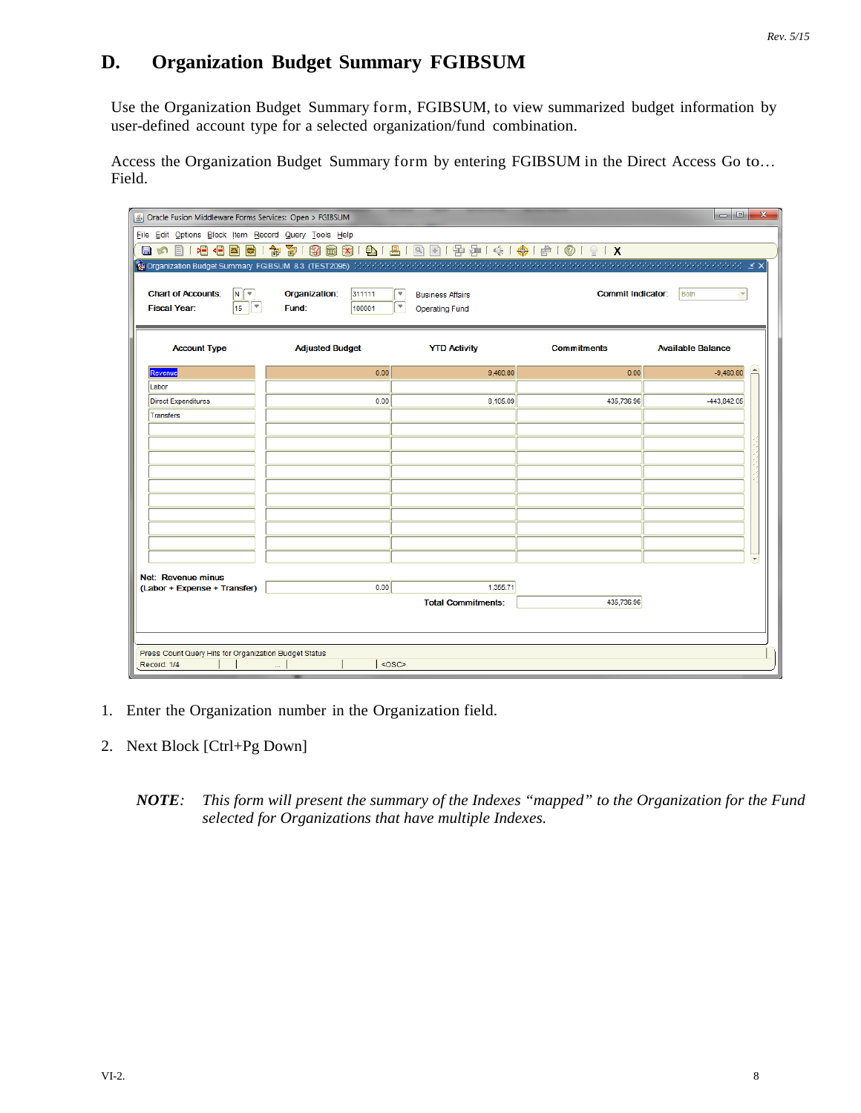# **D. Organization Budget Summary FGIBSUM**

Use the Organization Budget Summary form, FGIBSUM, to view summarized budget information by user-defined account type for a selected organization/fund combination.

Access the Organization Budget Summary form by entering FGIBSUM in the Direct Access Go to… Field.

|                                                       | $\Box$ e<br>$\mathbf{x}$<br>△ Oracle Fusion Middleware Forms Services: Open > FGIBSUM                |                                                  |                          |                                 |  |  |  |  |  |  |  |  |
|-------------------------------------------------------|------------------------------------------------------------------------------------------------------|--------------------------------------------------|--------------------------|---------------------------------|--|--|--|--|--|--|--|--|
| File Edit Options Block Item Record Query Tools Help  |                                                                                                      |                                                  |                          |                                 |  |  |  |  |  |  |  |  |
|                                                       | 日の日1日日国画1家都1路画图1日1日1日国1季春1余1帝160191X                                                                 |                                                  |                          |                                 |  |  |  |  |  |  |  |  |
|                                                       | <b>(g) Organization Budget Summary FGIBSUM 8.3 (TEST2095)</b> かかかかかかかかかかかかかかかかかかかかかかかかかかかかかかかかかかい ビス |                                                  |                          |                                 |  |  |  |  |  |  |  |  |
|                                                       |                                                                                                      |                                                  |                          |                                 |  |  |  |  |  |  |  |  |
| <b>Chart of Accounts:</b><br>İΝ.<br>٠                 | Organization:<br>311111                                                                              | ٠<br><b>Business Affairs</b>                     | <b>Commit Indicator:</b> | <b>Both</b>                     |  |  |  |  |  |  |  |  |
| $\overline{\mathbf v}$<br><b>Fiscal Year:</b><br>15   | Fund:<br>100001                                                                                      | $\overline{\mathbf{v}}$<br><b>Operating Fund</b> |                          |                                 |  |  |  |  |  |  |  |  |
|                                                       |                                                                                                      |                                                  |                          |                                 |  |  |  |  |  |  |  |  |
| <b>Account Type</b>                                   | <b>Adjusted Budget</b>                                                                               | <b>YTD Activity</b>                              | <b>Commitments</b>       | <b>Available Balance</b>        |  |  |  |  |  |  |  |  |
|                                                       |                                                                                                      |                                                  | 0.00                     | $\blacktriangle$<br>$-9,460.80$ |  |  |  |  |  |  |  |  |
| Revenue<br>Labor                                      | 0.00                                                                                                 | 9,460.80                                         |                          |                                 |  |  |  |  |  |  |  |  |
| <b>Direct Expenditures</b>                            | 0.00                                                                                                 | 8,105.09                                         | 435,736.96               | -443,842.05                     |  |  |  |  |  |  |  |  |
| <b>Transfers</b>                                      |                                                                                                      |                                                  |                          |                                 |  |  |  |  |  |  |  |  |
|                                                       |                                                                                                      |                                                  |                          |                                 |  |  |  |  |  |  |  |  |
|                                                       |                                                                                                      |                                                  |                          |                                 |  |  |  |  |  |  |  |  |
|                                                       |                                                                                                      |                                                  |                          |                                 |  |  |  |  |  |  |  |  |
|                                                       |                                                                                                      |                                                  |                          |                                 |  |  |  |  |  |  |  |  |
|                                                       |                                                                                                      |                                                  |                          |                                 |  |  |  |  |  |  |  |  |
|                                                       |                                                                                                      |                                                  |                          |                                 |  |  |  |  |  |  |  |  |
|                                                       |                                                                                                      |                                                  |                          |                                 |  |  |  |  |  |  |  |  |
|                                                       |                                                                                                      |                                                  |                          |                                 |  |  |  |  |  |  |  |  |
|                                                       |                                                                                                      |                                                  |                          | $\overline{\phantom{a}}$        |  |  |  |  |  |  |  |  |
| Net: Revenue minus                                    |                                                                                                      |                                                  |                          |                                 |  |  |  |  |  |  |  |  |
| (Labor + Expense + Transfer)                          | 0.00                                                                                                 | 1,355.71                                         |                          |                                 |  |  |  |  |  |  |  |  |
|                                                       |                                                                                                      | <b>Total Commitments:</b>                        | 435,736.96               |                                 |  |  |  |  |  |  |  |  |
|                                                       |                                                                                                      |                                                  |                          |                                 |  |  |  |  |  |  |  |  |
|                                                       |                                                                                                      |                                                  |                          |                                 |  |  |  |  |  |  |  |  |
| Press Count Query Hits for Organization Budget Status |                                                                                                      |                                                  |                          |                                 |  |  |  |  |  |  |  |  |
| Record: 1/4                                           | <osc></osc>                                                                                          |                                                  |                          |                                 |  |  |  |  |  |  |  |  |

- 1. Enter the Organization number in the Organization field.
- 2. Next Block [Ctrl+Pg Down]
	- *NOTE: This form will present the summary of the Indexes "mapped" to the Organization for the Fund selected for Organizations that have multiple Indexes.*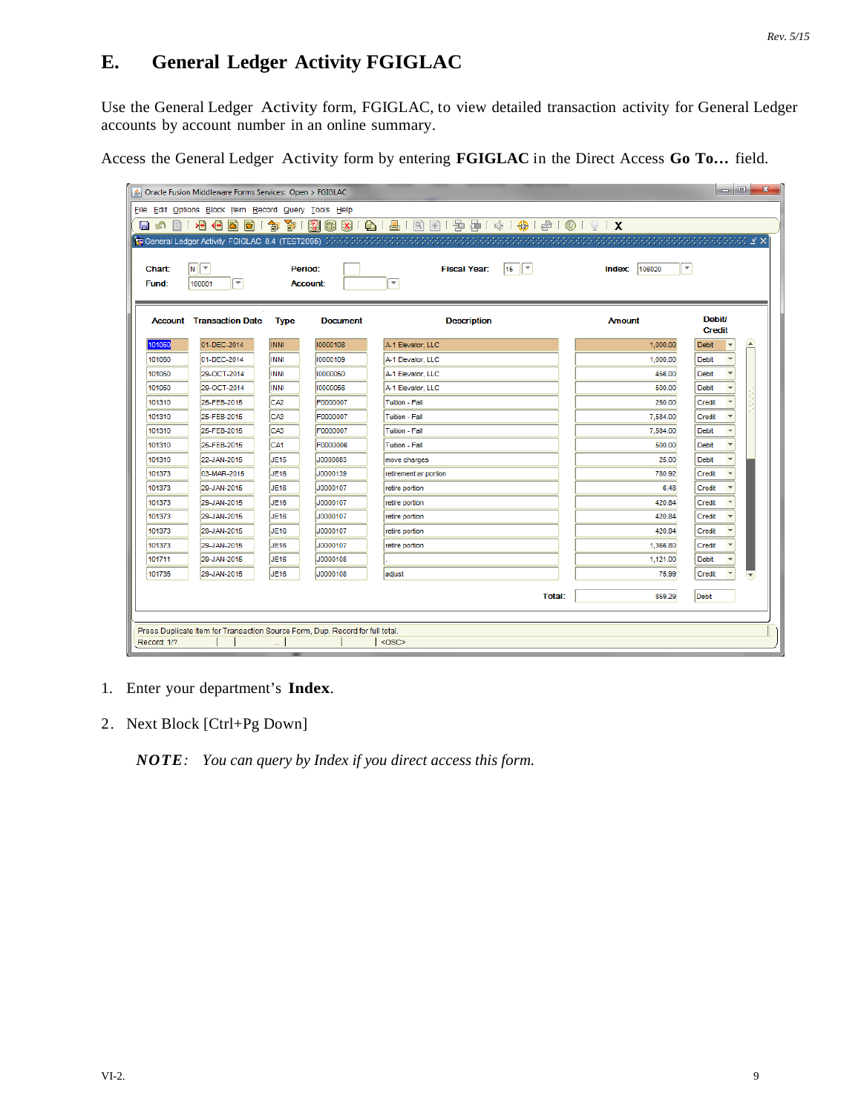#### *Rev. 5/15*

# **E. General Ledger Activity FGIGLAC**

Use the General Ledger Activity form, FGIGLAC, to view detailed transaction activity for General Ledger accounts by account number in an online summary.

Access the General Ledger Activity form by entering **FGIGLAC** in the Direct Access **Go To…** field.

| $\begin{array}{c c c c c} \hline \multicolumn{3}{c }{\textbf{0}} & \multicolumn{3}{c }{\textbf{0}} \\\hline \multicolumn{3}{c }{\textbf{0}} & \multicolumn{3}{c }{\textbf{0}} \end{array}$<br>$\mathbf{x}$<br>S Oracle Fusion Middleware Forms Services: Open > FGIGLAC |                                                                               |                 |                 |                                                         |                                              |                           |  |  |  |  |  |
|-------------------------------------------------------------------------------------------------------------------------------------------------------------------------------------------------------------------------------------------------------------------------|-------------------------------------------------------------------------------|-----------------|-----------------|---------------------------------------------------------|----------------------------------------------|---------------------------|--|--|--|--|--|
|                                                                                                                                                                                                                                                                         | File Edit Options Block Item Record Query Tools Help                          |                 |                 |                                                         |                                              |                           |  |  |  |  |  |
| 日め<br>目                                                                                                                                                                                                                                                                 | 相相因同                                                                          | 囹<br>訇          |                 | 3 8 8 8 9 1 4 1 5 8 8 1 5 8 7 4 1 4 1 4 1 6 1 8 1 8 8 8 |                                              |                           |  |  |  |  |  |
|                                                                                                                                                                                                                                                                         |                                                                               |                 |                 |                                                         |                                              |                           |  |  |  |  |  |
|                                                                                                                                                                                                                                                                         |                                                                               |                 |                 |                                                         |                                              |                           |  |  |  |  |  |
| Chart:                                                                                                                                                                                                                                                                  | $\sqrt{N}$                                                                    |                 | Period:         | $15$ $\sqrt{7}$<br><b>Fiscal Year:</b>                  | $\overline{\phantom{a}}$<br>106020<br>Index: |                           |  |  |  |  |  |
| Fund:                                                                                                                                                                                                                                                                   | $\overline{\mathbf{v}}$<br>100001                                             |                 | <b>Account:</b> | ⋤                                                       |                                              |                           |  |  |  |  |  |
|                                                                                                                                                                                                                                                                         |                                                                               |                 |                 |                                                         |                                              |                           |  |  |  |  |  |
|                                                                                                                                                                                                                                                                         | <b>Account</b> Transaction Date                                               | <b>Type</b>     | <b>Document</b> | <b>Description</b>                                      | <b>Amount</b>                                | <b>Debit/</b>             |  |  |  |  |  |
|                                                                                                                                                                                                                                                                         |                                                                               |                 |                 |                                                         |                                              | <b>Credit</b>             |  |  |  |  |  |
| 101050                                                                                                                                                                                                                                                                  | 01-DEC-2014                                                                   | <b>INNI</b>     | 10000108        | A-1 Elevator, LLC                                       | 1,000.00                                     | $\blacktriangle$<br>Debit |  |  |  |  |  |
| 101050                                                                                                                                                                                                                                                                  | 01-DEC-2014                                                                   | <b>INNI</b>     | 10000109        | A-1 Elevator, LLC                                       | 1,000.00                                     | <b>Debit</b>              |  |  |  |  |  |
| 101050                                                                                                                                                                                                                                                                  | 29-OCT-2014                                                                   | <b>INNI</b>     | 10000050        | A-1 Elevator, LLC                                       | 456.00                                       | Debit                     |  |  |  |  |  |
| 101050                                                                                                                                                                                                                                                                  | 29-OCT-2014                                                                   | <b>INNI</b>     | 10000056        | A-1 Elevator, LLC                                       | 500.00                                       | <b>Debit</b>              |  |  |  |  |  |
| 101310                                                                                                                                                                                                                                                                  | 25-FEB-2015                                                                   | CA <sub>2</sub> | F0000007        | Tuition - Fall                                          | 250.00                                       | Credit                    |  |  |  |  |  |
| 101310                                                                                                                                                                                                                                                                  | 25-FEB-2015                                                                   | CA <sub>3</sub> | F0000007        | <b>Tuition - Fall</b>                                   | 7,584.00                                     | Credit                    |  |  |  |  |  |
| 101310                                                                                                                                                                                                                                                                  | 25-FEB-2015                                                                   | CA <sub>3</sub> | F0000007        | Tuition - Fall                                          | 7,584.00                                     | <b>Debit</b>              |  |  |  |  |  |
| 101310                                                                                                                                                                                                                                                                  | 25-FEB-2015                                                                   | CA <sub>1</sub> | F0000006        | <b>Tuition - Fall</b>                                   | 500.00                                       | Debit                     |  |  |  |  |  |
| 101310                                                                                                                                                                                                                                                                  | 22-JAN-2015                                                                   | <b>JE15</b>     | J0000083        | move charges                                            | 25.00                                        | Debit                     |  |  |  |  |  |
| 101373                                                                                                                                                                                                                                                                  | 03-MAR-2015                                                                   | <b>JE16</b>     | J0000139        | retirement ar portion                                   | 780.92                                       | Credit                    |  |  |  |  |  |
| 101373                                                                                                                                                                                                                                                                  | 29-JAN-2015                                                                   | <b>JE16</b>     | J0000107        | retire portion                                          | 6.48                                         | Credit                    |  |  |  |  |  |
| 101373                                                                                                                                                                                                                                                                  | 29-JAN-2015                                                                   | <b>JE16</b>     | J0000107        | retire portion                                          | 420.84                                       | Credit                    |  |  |  |  |  |
| 101373                                                                                                                                                                                                                                                                  | 29-JAN-2015                                                                   | <b>JE16</b>     | J0000107        | retire portion                                          | 420.84                                       | Credit                    |  |  |  |  |  |
| 101373                                                                                                                                                                                                                                                                  | 29-JAN-2015                                                                   | <b>JE16</b>     | J0000107        | retire portion                                          | 420.84                                       | Credit                    |  |  |  |  |  |
| 101373                                                                                                                                                                                                                                                                  | 29-JAN-2015                                                                   | <b>JE16</b>     | J0000107        | retire portion                                          | 1,366.80                                     | Credit                    |  |  |  |  |  |
| 101711                                                                                                                                                                                                                                                                  | 29-JAN-2015                                                                   | <b>JE16</b>     | J0000108        |                                                         | 1,121.00                                     | <b>Debit</b>              |  |  |  |  |  |
| 101735                                                                                                                                                                                                                                                                  | 29-JAN-2015                                                                   | <b>JE16</b>     | J0000108        | adjust                                                  | 75.99                                        | Credit                    |  |  |  |  |  |
|                                                                                                                                                                                                                                                                         |                                                                               |                 |                 | <b>Total:</b>                                           | 859.29                                       | Debit                     |  |  |  |  |  |
|                                                                                                                                                                                                                                                                         |                                                                               |                 |                 |                                                         |                                              |                           |  |  |  |  |  |
|                                                                                                                                                                                                                                                                         | Press Duplicate Item for Transaction Source Form, Dup. Record for full total. |                 |                 |                                                         |                                              |                           |  |  |  |  |  |
| Record: 1/?                                                                                                                                                                                                                                                             |                                                                               |                 |                 | <osc></osc>                                             |                                              |                           |  |  |  |  |  |

- 1. Enter your department's **Index**.
- 2. Next Block [Ctrl+Pg Down]

*NOTE: You can query by Index if you direct access this form.*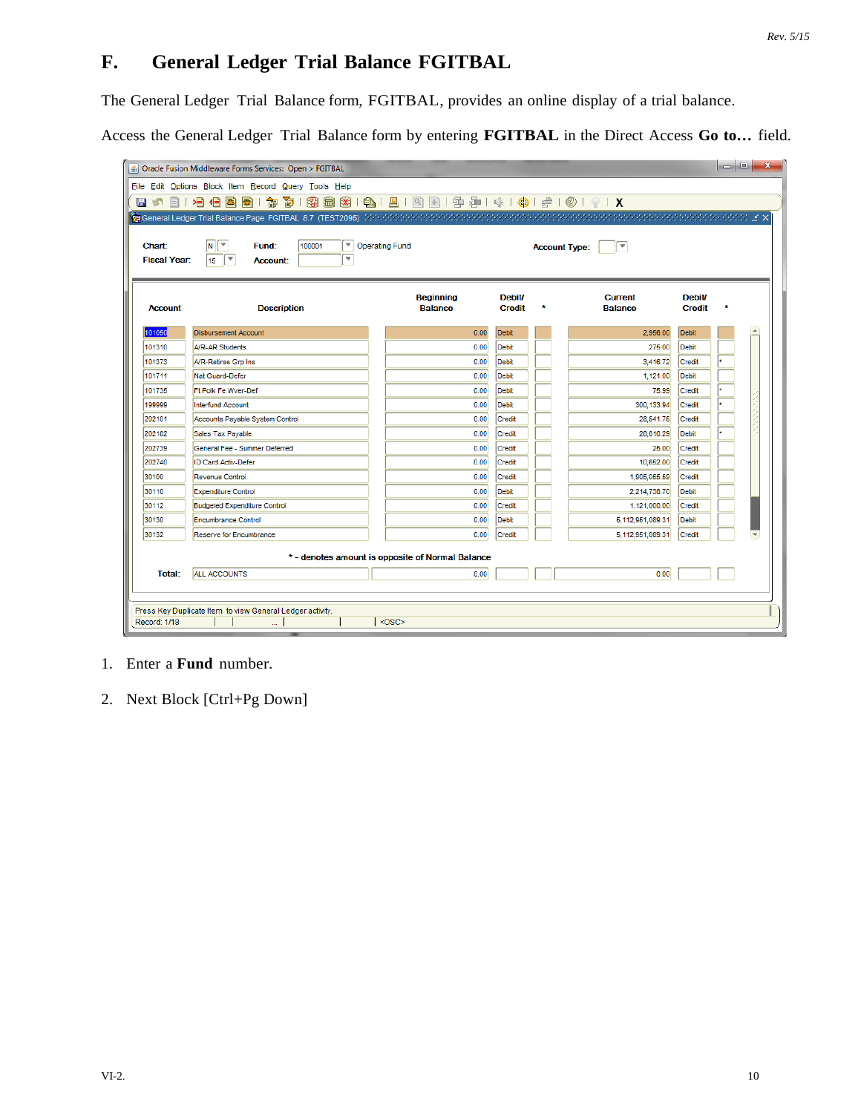# **F. General Ledger Trial Balance FGITBAL**

The General Ledger Trial Balance form, FGITBAL, provides an online display of a trial balance.

Access the General Ledger Trial Balance form by entering **FGITBAL** in the Direct Access **Go to…** field.

| 日の<br>目<br><b>Chart:</b>              | File Edit Options Block Item Record Query Tools Help<br>植相因同<br>御<br>寄<br><b>1999 General Ledger Trial Balance Page FGITBAL 8.7 (TEST2095)</b> かかかかかかかかかかかかかかかかかかかかかかかかかかかかかかかい ビス<br>$\overline{\phantom{a}}$<br>N.<br>F.<br>100001<br>Fund: | 1999 59 19 19 18 18 19 19 14 14 14 14 10 10 10 1<br><b>Operating Fund</b> |                                | <b>Account Type:</b> | ×                                |                                |  |
|---------------------------------------|-----------------------------------------------------------------------------------------------------------------------------------------------------------------------------------------------------------------------------------------------|---------------------------------------------------------------------------|--------------------------------|----------------------|----------------------------------|--------------------------------|--|
| <b>Fiscal Year:</b><br><b>Account</b> | $\overline{\phantom{a}}$<br>$\overline{\mathbf v}$<br>15<br><b>Account:</b><br><b>Description</b>                                                                                                                                             | <b>Beginning</b><br><b>Balance</b>                                        | <b>Debit/</b><br><b>Credit</b> | ż                    | <b>Current</b><br><b>Balance</b> | <b>Debit/</b><br><b>Credit</b> |  |
| 101050                                | <b>Disbursement Account</b>                                                                                                                                                                                                                   | 0.00                                                                      | <b>Debit</b>                   |                      | 2,956.00                         | <b>Debit</b>                   |  |
| 101310                                | A/R-AR Students                                                                                                                                                                                                                               | 0.00                                                                      | <b>Debit</b>                   |                      | 275.00                           | Debit                          |  |
| 101373                                | A/R-Retiree Grp Ins                                                                                                                                                                                                                           | 0.00                                                                      | <b>Debit</b>                   |                      | 3,416.72                         | Credit                         |  |
| 101711                                | Nat Guard-Defer                                                                                                                                                                                                                               | 0.00                                                                      | <b>Debit</b>                   |                      | 1,121.00                         | <b>Debit</b>                   |  |
| 101735                                | Ft Polk Fe Wver-Def                                                                                                                                                                                                                           | 0.00                                                                      | <b>Debit</b>                   |                      | 75.99                            | Credit                         |  |
| 199999                                | <b>Interfund Account</b>                                                                                                                                                                                                                      | 0.00                                                                      | <b>Debit</b>                   |                      | 300.133.94                       | Credit                         |  |
| 202101                                | Accounts Payable System Control                                                                                                                                                                                                               | 0.00                                                                      | Credit                         |                      | 28,541.75                        | Credit                         |  |
| 202182                                | <b>Sales Tax Payable</b>                                                                                                                                                                                                                      | 0.00                                                                      | Credit                         |                      | 28,810.29                        | <b>Debit</b>                   |  |
| 202739                                | General Fee - Summer Deferred                                                                                                                                                                                                                 | 0.00                                                                      | Credit                         |                      | 25.00                            | Credit                         |  |
| 202740                                | <b>ID Card Activ-Defer</b>                                                                                                                                                                                                                    | 0.00                                                                      | Credit                         |                      | 10,652.00                        | Credit                         |  |
| 30100                                 | Revenue Control                                                                                                                                                                                                                               | 0.00                                                                      | Credit                         |                      | 1,905,055.59                     | Credit                         |  |
| 30110                                 | <b>Expenditure Control</b>                                                                                                                                                                                                                    | 0.00                                                                      | <b>Debit</b>                   |                      | 2,214,738.70                     | Debit                          |  |
| 30112                                 | <b>Budgeted Expenditure Control</b>                                                                                                                                                                                                           | 0.00                                                                      | Credit                         |                      | 1,121,000.00                     | Credit                         |  |
| 30130                                 | <b>Encumbrance Control</b>                                                                                                                                                                                                                    | 0.00                                                                      | <b>Debit</b>                   |                      | 5,112,951,089.31                 | <b>Debit</b>                   |  |
| 30132                                 | Reserve for Encumbrance                                                                                                                                                                                                                       | 0.00                                                                      | Credit                         |                      | 5,112,951,089.31                 | Credit                         |  |
|                                       | <b>ALL ACCOUNTS</b>                                                                                                                                                                                                                           | *- denotes amount is opposite of Normal Balance<br>0.00                   |                                |                      | 0.00                             |                                |  |

### 1. Enter a **Fund** number.

2. Next Block [Ctrl+Pg Down]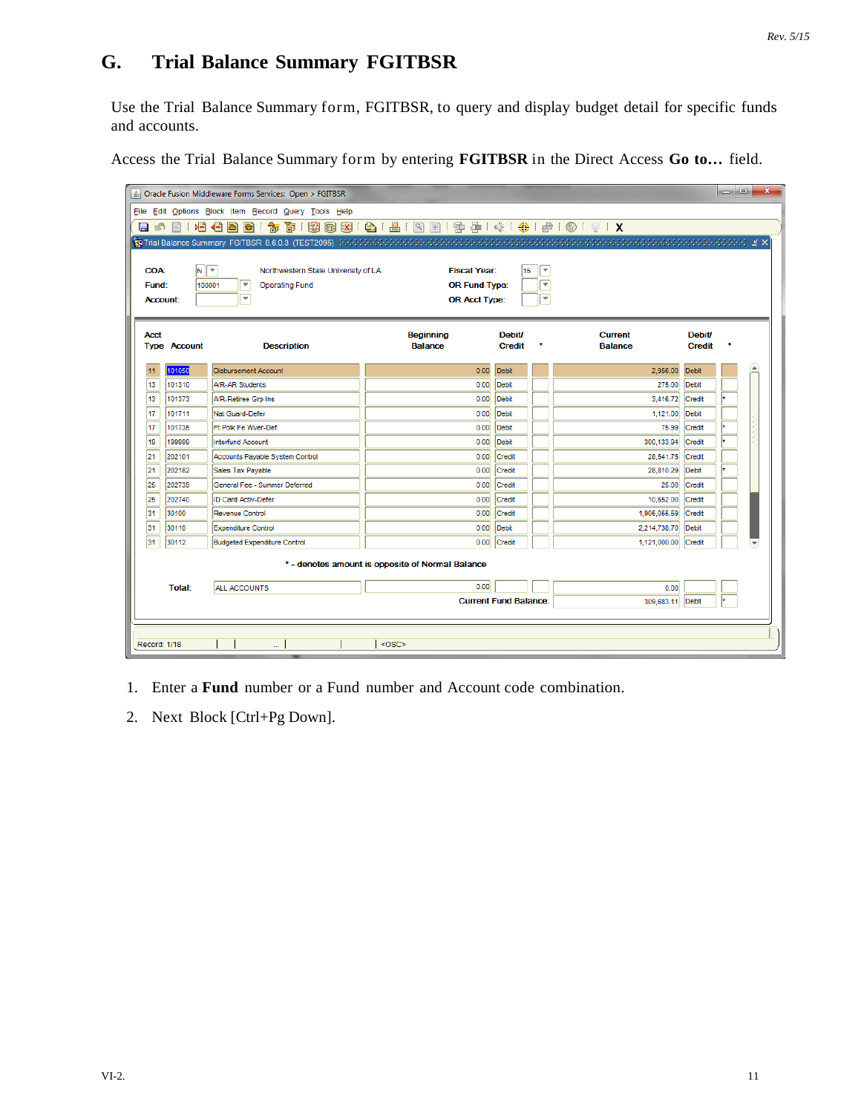# **G. Trial Balance Summary FGITBSR**

Use the Trial Balance Summary form, FGITBSR, to query and display budget detail for specific funds and accounts.

Access the Trial Balance Summary form by entering **FGITBSR** in the Direct Access **Go to…** field.

| <b>COA:</b><br>Fund: | 目<br>$N$ $\tau$<br>100001 | File Edit Options Block Item Record Query Tools Help<br>衙<br>増相固固<br>御<br>Northwestern State University of LA<br>$\overline{\mathbf{v}}$<br><b>Operating Fund</b> | <b>Fiscal Year:</b>                              |                                |                                                    |                                  |                                |                                                                 |                  |  |  |  |  |  |  |  |  |  |  |  |
|----------------------|---------------------------|-------------------------------------------------------------------------------------------------------------------------------------------------------------------|--------------------------------------------------|--------------------------------|----------------------------------------------------|----------------------------------|--------------------------------|-----------------------------------------------------------------|------------------|--|--|--|--|--|--|--|--|--|--|--|
|                      |                           |                                                                                                                                                                   |                                                  |                                |                                                    |                                  |                                | 8 8 8 8 9 1 8 1 8 1 9 8 1 9 9 1 4 1 4 1 4 1 6 1 0 1 9 1 X<br>日め |                  |  |  |  |  |  |  |  |  |  |  |  |
|                      |                           |                                                                                                                                                                   |                                                  |                                |                                                    |                                  |                                |                                                                 |                  |  |  |  |  |  |  |  |  |  |  |  |
|                      |                           |                                                                                                                                                                   |                                                  |                                |                                                    |                                  |                                |                                                                 |                  |  |  |  |  |  |  |  |  |  |  |  |
|                      |                           |                                                                                                                                                                   |                                                  |                                |                                                    |                                  |                                |                                                                 |                  |  |  |  |  |  |  |  |  |  |  |  |
|                      |                           |                                                                                                                                                                   |                                                  | 15                             | $\overline{\mathbf v}$<br>$\overline{\phantom{a}}$ |                                  |                                |                                                                 |                  |  |  |  |  |  |  |  |  |  |  |  |
|                      |                           | $\overline{\phantom{a}}$                                                                                                                                          | <b>OR Fund Type:</b>                             |                                | $\overline{\mathbf{v}}$                            |                                  |                                |                                                                 |                  |  |  |  |  |  |  |  |  |  |  |  |
| <b>Account:</b>      |                           |                                                                                                                                                                   | <b>OR Acct Type:</b>                             |                                |                                                    |                                  |                                |                                                                 |                  |  |  |  |  |  |  |  |  |  |  |  |
|                      |                           |                                                                                                                                                                   |                                                  |                                |                                                    |                                  |                                |                                                                 |                  |  |  |  |  |  |  |  |  |  |  |  |
| <b>Acct</b>          | <b>Type Account</b>       | <b>Description</b>                                                                                                                                                | <b>Beginning</b><br><b>Balance</b>               | <b>Debit/</b><br><b>Credit</b> | ٠                                                  | <b>Current</b><br><b>Balance</b> | <b>Debit/</b><br><b>Credit</b> |                                                                 |                  |  |  |  |  |  |  |  |  |  |  |  |
|                      |                           |                                                                                                                                                                   |                                                  |                                |                                                    |                                  |                                |                                                                 |                  |  |  |  |  |  |  |  |  |  |  |  |
| 11                   | 101050                    | <b>Disbursement Account</b>                                                                                                                                       | 0.00                                             | Debit                          |                                                    | 2,956.00                         | <b>Debit</b>                   |                                                                 | $\blacktriangle$ |  |  |  |  |  |  |  |  |  |  |  |
| 13                   | 101310                    | A/R-AR Students                                                                                                                                                   | 0.00                                             | Debit                          |                                                    | 275.00                           | Debit                          |                                                                 |                  |  |  |  |  |  |  |  |  |  |  |  |
| 13                   | 101373                    | A/R-Retiree Grp Ins                                                                                                                                               | 0.00                                             | <b>Debit</b>                   |                                                    | 3,416.72                         | Credit                         |                                                                 |                  |  |  |  |  |  |  |  |  |  |  |  |
| 17                   | 101711                    | Nat Guard-Defer                                                                                                                                                   | 0.00                                             | Debit                          |                                                    | 1.121.00                         | <b>Debit</b>                   |                                                                 |                  |  |  |  |  |  |  |  |  |  |  |  |
| 17                   | 101735                    | Ft Polk Fe Wyer-Def                                                                                                                                               | 0.00                                             | Debit                          |                                                    | 75.99                            | Credit                         |                                                                 |                  |  |  |  |  |  |  |  |  |  |  |  |
| 19                   | 199999                    | <b>Interfund Account</b>                                                                                                                                          | 0.00                                             | Debit                          |                                                    | 300.133.94                       | Credit                         |                                                                 |                  |  |  |  |  |  |  |  |  |  |  |  |
| 21                   | 202101                    | Accounts Payable System Control                                                                                                                                   | 0.00                                             | Credit                         |                                                    | 28,541.75                        | Credit                         |                                                                 |                  |  |  |  |  |  |  |  |  |  |  |  |
| 21                   | 202182                    | Sales Tax Payable                                                                                                                                                 | 0.00                                             | Credit                         |                                                    | 28,810.29                        | <b>Debit</b>                   |                                                                 |                  |  |  |  |  |  |  |  |  |  |  |  |
| 25                   | 202739                    | General Fee - Summer Deferred                                                                                                                                     | 0.00                                             | Credit                         |                                                    | 25.00                            | Credit                         |                                                                 |                  |  |  |  |  |  |  |  |  |  |  |  |
| 25                   | 202740                    | <b>ID Card Activ-Defer</b>                                                                                                                                        | 0.00                                             | Credit                         |                                                    | 10.652.00                        | Credit                         |                                                                 |                  |  |  |  |  |  |  |  |  |  |  |  |
| 31                   | 30100                     | <b>Revenue Control</b>                                                                                                                                            | 0.00                                             | Credit                         |                                                    | 1,905,055.59                     | Credit                         |                                                                 |                  |  |  |  |  |  |  |  |  |  |  |  |
| 31                   | 30110                     | <b>Expenditure Control</b>                                                                                                                                        | 0.00                                             | Debit                          |                                                    | 2,214,738.70                     | Debit                          |                                                                 |                  |  |  |  |  |  |  |  |  |  |  |  |
| 31                   | 30112                     | <b>Budgeted Expenditure Control</b>                                                                                                                               | 0.00                                             | Credit                         |                                                    | 1,121,000.00                     | Credit                         |                                                                 |                  |  |  |  |  |  |  |  |  |  |  |  |
|                      |                           |                                                                                                                                                                   | * - denotes amount is opposite of Normal Balance |                                |                                                    |                                  |                                |                                                                 |                  |  |  |  |  |  |  |  |  |  |  |  |
|                      | <b>Total:</b>             | ALL ACCOUNTS                                                                                                                                                      | 0.00                                             |                                |                                                    | 0.00                             |                                |                                                                 |                  |  |  |  |  |  |  |  |  |  |  |  |
|                      |                           |                                                                                                                                                                   |                                                  | <b>Current Fund Balance:</b>   |                                                    | 309,683.11                       | Debit                          |                                                                 |                  |  |  |  |  |  |  |  |  |  |  |  |
|                      |                           |                                                                                                                                                                   |                                                  |                                |                                                    |                                  |                                |                                                                 |                  |  |  |  |  |  |  |  |  |  |  |  |
|                      |                           |                                                                                                                                                                   |                                                  |                                |                                                    |                                  |                                |                                                                 |                  |  |  |  |  |  |  |  |  |  |  |  |

- 1. Enter a **Fund** number or a Fund number and Account code combination.
- 2. Next Block [Ctrl+Pg Down].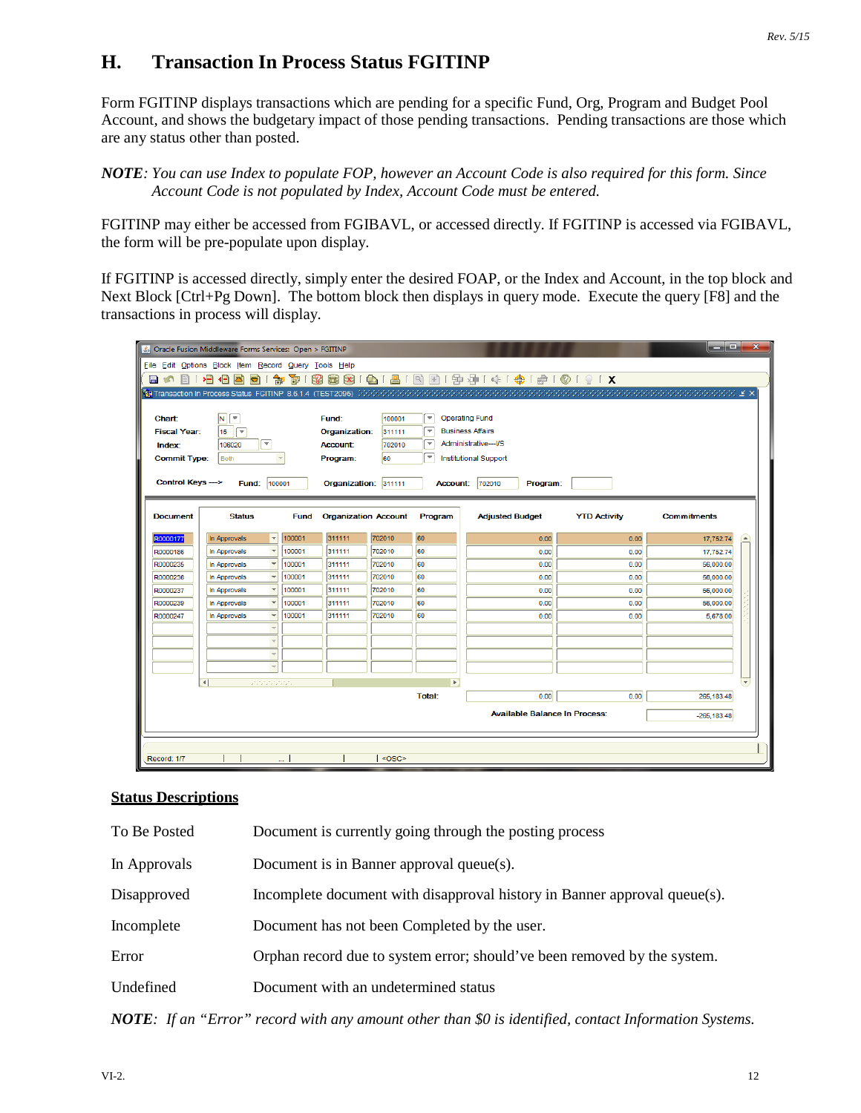# **H. Transaction In Process Status FGITINP**

Form FGITINP displays transactions which are pending for a specific Fund, Org, Program and Budget Pool Account, and shows the budgetary impact of those pending transactions. Pending transactions are those which are any status other than posted.

#### *NOTE: You can use Index to populate FOP, however an Account Code is also required for this form. Since Account Code is not populated by Index, Account Code must be entered.*

FGITINP may either be accessed from FGIBAVL, or accessed directly. If FGITINP is accessed via FGIBAVL, the form will be pre-populate upon display.

If FGITINP is accessed directly, simply enter the desired FOAP, or the Index and Account, in the top block and Next Block [Ctrl+Pg Down]. The bottom block then displays in query mode. Execute the query [F8] and the transactions in process will display.

|                                                                                                          | & Oracle Fusion Middleware Forms Services: Open > FGITINP |             |                 |                             |                          |                                                                                                                                                                |                     | الهابط             | $\mathbf{x}$             |  |  |  |
|----------------------------------------------------------------------------------------------------------|-----------------------------------------------------------|-------------|-----------------|-----------------------------|--------------------------|----------------------------------------------------------------------------------------------------------------------------------------------------------------|---------------------|--------------------|--------------------------|--|--|--|
|                                                                                                          | File Edit Options Block Item Record Query Tools Help      |             |                 |                             |                          |                                                                                                                                                                |                     |                    |                          |  |  |  |
| 图<br>目の                                                                                                  | 相相固<br>a                                                  | 衙<br>御      | 82<br>同义        | 鲁门                          |                          | 图   图   图   图   图   中 1 第   卷   ●   ●   ●   ×                                                                                                                  |                     |                    |                          |  |  |  |
|                                                                                                          | Transaction In Process Status FGITINP 8.6.1.4 (TEST2095)  |             |                 |                             |                          | $\mathcal{M}(\mathcal{N},\mathcal{N})$ is a set of the set of the set of the set of the set of the set of the set of the set of $\mathcal{N}$ is $\mathcal{N}$ |                     |                    |                          |  |  |  |
|                                                                                                          |                                                           |             |                 |                             |                          |                                                                                                                                                                |                     |                    |                          |  |  |  |
| Chart:                                                                                                   | $N$ $\sqrt{\tau}$                                         |             | Fund:           | 100001                      | ÷                        | <b>Operating Fund</b>                                                                                                                                          |                     |                    |                          |  |  |  |
| <b>Fiscal Year:</b>                                                                                      | 15<br>ஈ                                                   |             | Organization:   | 311111                      | $\overline{\phantom{a}}$ | <b>Business Affairs</b>                                                                                                                                        |                     |                    |                          |  |  |  |
| Index:                                                                                                   | $\overline{\phantom{0}}$<br>106020                        |             | <b>Account:</b> | 702010                      | $\overline{\mathbf v}$   | Administrative---I/S                                                                                                                                           |                     |                    |                          |  |  |  |
| <b>Commit Type:</b>                                                                                      | <b>Both</b>                                               |             | Program:        | 60                          | $\overline{\phantom{a}}$ | Institutional Support                                                                                                                                          |                     |                    |                          |  |  |  |
|                                                                                                          |                                                           |             |                 |                             |                          |                                                                                                                                                                |                     |                    |                          |  |  |  |
| Control Keys ---><br>100001<br>311111<br>Fund:<br>Organization:<br>702010<br>Program:<br><b>Account:</b> |                                                           |             |                 |                             |                          |                                                                                                                                                                |                     |                    |                          |  |  |  |
|                                                                                                          |                                                           |             |                 |                             |                          |                                                                                                                                                                |                     |                    |                          |  |  |  |
| <b>Document</b>                                                                                          | <b>Status</b>                                             | <b>Fund</b> |                 | <b>Organization Account</b> | Program                  | <b>Adjusted Budget</b>                                                                                                                                         | <b>YTD Activity</b> | <b>Commitments</b> |                          |  |  |  |
|                                                                                                          |                                                           |             |                 |                             |                          |                                                                                                                                                                |                     |                    |                          |  |  |  |
| R0000177                                                                                                 | $\overline{\phantom{a}}$<br>In Approvals                  | 100001      | 311111          | 702010                      | 60                       | 0.00                                                                                                                                                           | 0.00                | 17,752.74          | íΔ.                      |  |  |  |
| R0000186                                                                                                 | In Approvals<br>$\overline{\phantom{a}}$                  | 100001      | 311111          | 702010                      | 60                       | 0.00                                                                                                                                                           | 0.00                | 17,752.74          |                          |  |  |  |
| R0000235                                                                                                 | $\overline{\phantom{a}}$<br>In Approvals                  | 100001      | 311111          | 702010                      | 60                       | 0.00                                                                                                                                                           | 0.00                | 56,000.00          |                          |  |  |  |
| R0000236                                                                                                 | In Approvals<br>$\overline{\phantom{a}}$                  | 100001      | 311111          | 702010                      | 60                       | 0.00                                                                                                                                                           | 0.00                | 56,000.00          |                          |  |  |  |
| R0000237                                                                                                 | $\overline{\phantom{a}}$<br>In Approvals                  | 100001      | 311111          | 702010                      | 60                       | 0.00                                                                                                                                                           | 0.00                | 56,000.00          |                          |  |  |  |
| R0000239                                                                                                 | $\overline{\phantom{a}}$<br>In Approvals                  | 100001      | 311111          | 702010                      | 60                       | 0.00                                                                                                                                                           | 0.00                | 56,000.00          |                          |  |  |  |
| R0000247                                                                                                 | $\overline{\phantom{a}}$<br>In Approvals                  | 100001      | 311111          | 702010                      | l60                      | 0.00                                                                                                                                                           | 0.00                | 5,678.00           |                          |  |  |  |
|                                                                                                          | $\overline{\phantom{a}}$                                  |             |                 |                             |                          |                                                                                                                                                                |                     |                    |                          |  |  |  |
|                                                                                                          | $\overline{\phantom{a}}$<br>$\overline{\phantom{0}}$      |             |                 |                             |                          |                                                                                                                                                                |                     |                    |                          |  |  |  |
|                                                                                                          | $\overline{\phantom{a}}$                                  |             |                 |                             |                          |                                                                                                                                                                |                     |                    |                          |  |  |  |
|                                                                                                          |                                                           |             |                 |                             |                          |                                                                                                                                                                |                     |                    |                          |  |  |  |
|                                                                                                          | $\left  \cdot \right $<br>22222222                        |             |                 |                             | $\mathbf{F}$             |                                                                                                                                                                |                     |                    | $\overline{\phantom{a}}$ |  |  |  |
|                                                                                                          |                                                           |             |                 |                             | Total:                   | 0.00                                                                                                                                                           | 0.00                | 265, 183.48        |                          |  |  |  |
|                                                                                                          |                                                           |             |                 |                             |                          | <b>Available Balance In Process:</b>                                                                                                                           |                     | $-265, 183.48$     |                          |  |  |  |
|                                                                                                          |                                                           |             |                 |                             |                          |                                                                                                                                                                |                     |                    |                          |  |  |  |
|                                                                                                          |                                                           |             |                 |                             |                          |                                                                                                                                                                |                     |                    |                          |  |  |  |
| Record: 1/7                                                                                              |                                                           | i.          |                 | <osc></osc>                 |                          |                                                                                                                                                                |                     |                    |                          |  |  |  |
|                                                                                                          |                                                           |             |                 |                             |                          |                                                                                                                                                                |                     |                    |                          |  |  |  |

#### **Status Descriptions**

| To Be Posted | Document is currently going through the posting process                   |
|--------------|---------------------------------------------------------------------------|
| In Approvals | Document is in Banner approval queue(s).                                  |
| Disapproved  | Incomplete document with disapproval history in Banner approval queue(s). |
| Incomplete   | Document has not been Completed by the user.                              |
| Error        | Orphan record due to system error; should've been removed by the system.  |
| Undefined    | Document with an undetermined status                                      |
|              |                                                                           |

*NOTE: If an "Error" record with any amount other than \$0 is identified, contact Information Systems.*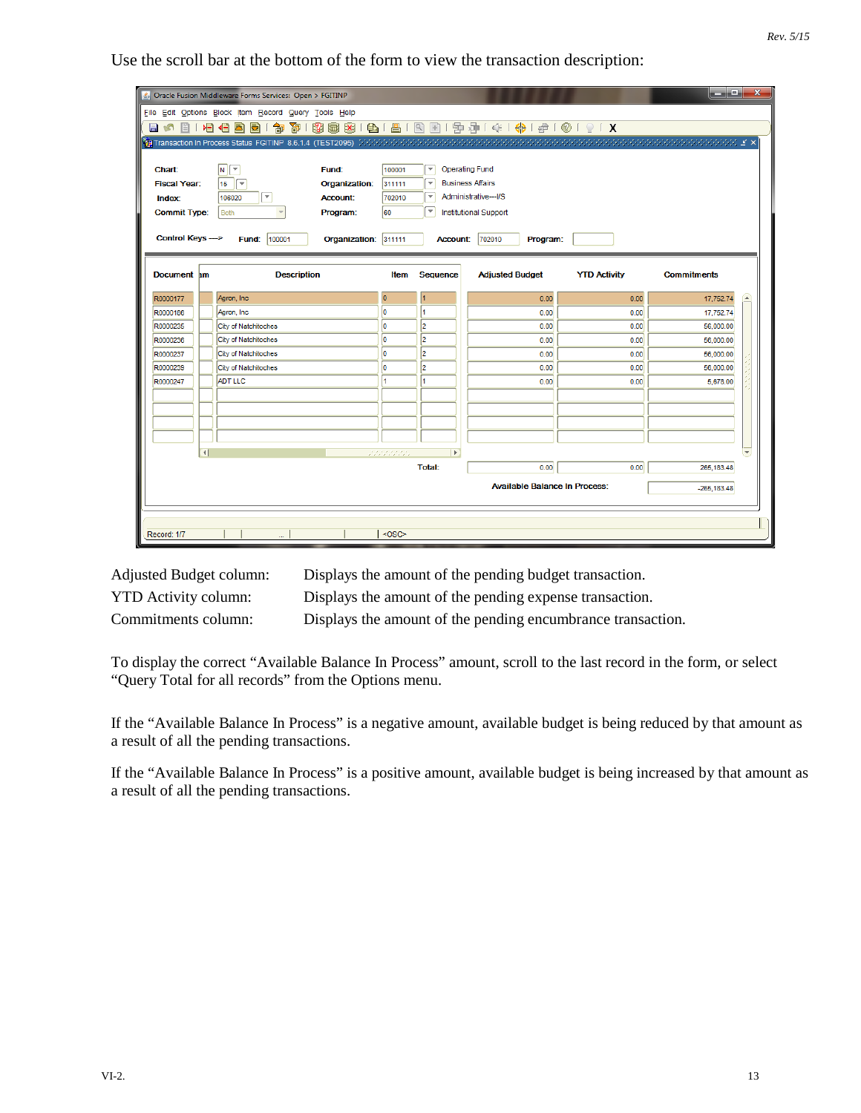Use the scroll bar at the bottom of the form to view the transaction description:

|                     |                | & Oracle Fusion Middleware Forms Services: Open > FGITINP |                      |            |                          |                                                       |                     | وأكترهما           | $\mathbf{x}$                 |
|---------------------|----------------|-----------------------------------------------------------|----------------------|------------|--------------------------|-------------------------------------------------------|---------------------|--------------------|------------------------------|
|                     |                | File Edit Options Block Item Record Query Tools Help      |                      |            |                          |                                                       |                     |                    |                              |
| EI 16<br>目          |                | 相信因<br>寄<br>制<br>G)                                       |                      |            |                          | 8 8 8 8 9 1 8 1 8 8 1 9 9 1 4 1 4 1 4 1 6 1 0 1 9 1 X |                     |                    |                              |
|                     |                |                                                           |                      |            |                          |                                                       |                     |                    |                              |
|                     |                |                                                           |                      |            |                          |                                                       |                     |                    |                              |
| Chart:              |                | $\vert N \vert$<br>$\overline{\mathbf{v}}$<br>Fund:       |                      | 100001     | $\overline{\phantom{a}}$ | <b>Operating Fund</b>                                 |                     |                    |                              |
| <b>Fiscal Year:</b> |                | 15<br>$\overline{\mathbf{v}}$                             | Organization:        | 311111     | $\overline{\mathbf v}$   | <b>Business Affairs</b>                               |                     |                    |                              |
| Index:              |                | ஈ<br>106020                                               | <b>Account:</b>      | 702010     | ▼                        | Administrative---I/S                                  |                     |                    |                              |
| <b>Commit Type:</b> |                | <b>Both</b>                                               | Program:             | 60         | $\overline{\mathbf v}$   | <b>Institutional Support</b>                          |                     |                    |                              |
|                     |                |                                                           |                      |            |                          |                                                       |                     |                    |                              |
| Control Keys --->   |                | Fund: 100001                                              | Organization: 311111 |            | <b>Account:</b>          | 702010<br>Program:                                    |                     |                    |                              |
|                     |                |                                                           |                      |            |                          |                                                       |                     |                    |                              |
| Document am         |                | <b>Description</b>                                        |                      | Item       | <b>Sequence</b>          | <b>Adjusted Budget</b>                                | <b>YTD Activity</b> | <b>Commitments</b> |                              |
|                     |                |                                                           |                      |            |                          |                                                       |                     |                    |                              |
| R0000177            |                | Agron, Inc.                                               | $\overline{0}$       |            | 1                        | 0.00                                                  | 0.00                | 17,752.74          | $\left( \frac{1}{2} \right)$ |
| R0000186            |                | Agron, Inc.                                               | lо                   |            | 4                        | 0.00                                                  | 0.00                | 17,752.74          |                              |
| R0000235            |                | City of Natchitoches                                      | lo.                  |            | $\overline{2}$           | 0.00                                                  | 0.00                | 56,000.00          |                              |
| R0000236            |                | City of Natchitoches                                      | lо                   |            | 2                        | 0.00                                                  | 0.00                | 56,000.00          |                              |
| R0000237            |                | City of Natchitoches                                      | lo                   |            | $\overline{a}$           | 0.00                                                  | 0.00                | 56,000.00          |                              |
| R0000239            |                | City of Natchitoches                                      | lo                   |            | 2                        | 0.00                                                  | 0.00                | 56,000.00          |                              |
| R0000247            |                | <b>ADT LLC</b>                                            | h                    |            | 1                        | 0.00                                                  | 0.00                | 5,678.00           |                              |
|                     |                |                                                           |                      |            |                          |                                                       |                     |                    |                              |
|                     |                |                                                           |                      |            |                          |                                                       |                     |                    |                              |
|                     |                |                                                           |                      |            |                          |                                                       |                     |                    |                              |
|                     |                |                                                           |                      |            |                          |                                                       |                     |                    |                              |
|                     | $\overline{a}$ |                                                           |                      | statistica | $\mathbf{F}$             |                                                       |                     |                    | $\left  \mathbf{v} \right $  |
|                     |                |                                                           |                      |            | <b>Total:</b>            | 0.00                                                  | 0.00                | 265, 183.48        |                              |
|                     |                |                                                           |                      |            |                          | <b>Available Balance In Process:</b>                  |                     | $-265, 183.48$     |                              |
|                     |                |                                                           |                      |            |                          |                                                       |                     |                    |                              |
|                     |                |                                                           |                      |            |                          |                                                       |                     |                    |                              |
| Record: 1/7         |                |                                                           |                      | $<$ OSC>   |                          |                                                       |                     |                    |                              |

Adjusted Budget column: Displays the amount of the pending budget transaction. YTD Activity column: Displays the amount of the pending expense transaction. Commitments column: Displays the amount of the pending encumbrance transaction.

To display the correct "Available Balance In Process" amount, scroll to the last record in the form, or select "Query Total for all records" from the Options menu.

If the "Available Balance In Process" is a negative amount, available budget is being reduced by that amount as a result of all the pending transactions.

If the "Available Balance In Process" is a positive amount, available budget is being increased by that amount as a result of all the pending transactions.